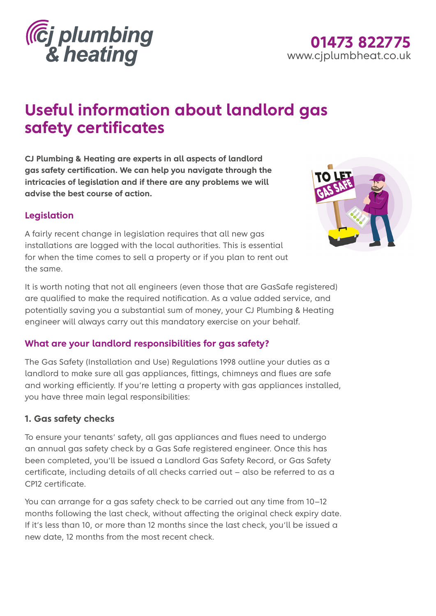

## **01473 822775** www.cjplumbheat.co.uk

# **Useful information about landlord gas safety certificates**

**CJ Plumbing & Heating are experts in all aspects of landlord gas safety certification. We can help you navigate through the intricacies of legislation and if there are any problems we will advise the best course of action.** 

#### **Legislation**

A fairly recent change in legislation requires that all new gas installations are logged with the local authorities. This is essential for when the time comes to sell a property or if you plan to rent out the same.



It is worth noting that not all engineers (even those that are GasSafe registered) are qualified to make the required notification. As a value added service, and potentially saving you a substantial sum of money, your CJ Plumbing & Heating engineer will always carry out this mandatory exercise on your behalf.

#### **What are your landlord responsibilities for gas safety?**

The Gas Safety (Installation and Use) Regulations 1998 outline your duties as a landlord to make sure all gas appliances, fittings, chimneys and flues are safe and working efficiently. If you're letting a property with gas appliances installed, you have three main legal responsibilities:

#### **1. Gas safety checks**

To ensure your tenants' safety, all gas appliances and flues need to undergo an annual gas safety check by a Gas Safe registered engineer. Once this has been completed, you'll be issued a Landlord Gas Safety Record, or Gas Safety certificate, including details of all checks carried out – also be referred to as a CP12 certificate.

You can arrange for a gas safety check to be carried out any time from 10–12 months following the last check, without affecting the original check expiry date. If it's less than 10, or more than 12 months since the last check, you'll be issued a new date, 12 months from the most recent check.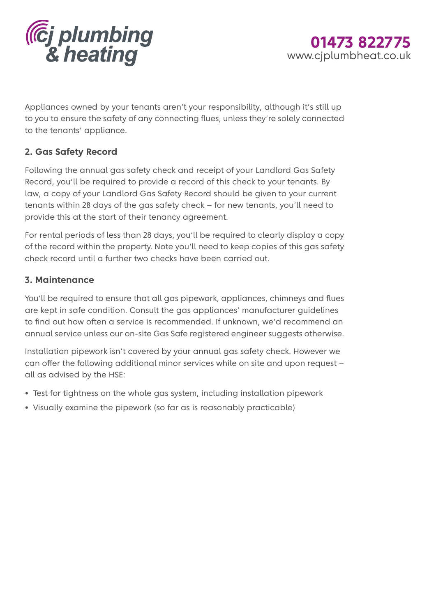



Appliances owned by your tenants aren't your responsibility, although it's still up to you to ensure the safety of any connecting flues, unless they're solely connected to the tenants' appliance.

#### **2. Gas Safety Record**

Following the annual gas safety check and receipt of your Landlord Gas Safety Record, you'll be required to provide a record of this check to your tenants. By law, a copy of your Landlord Gas Safety Record should be given to your current tenants within 28 days of the gas safety check – for new tenants, you'll need to provide this at the start of their tenancy agreement.

For rental periods of less than 28 days, you'll be required to clearly display a copy of the record within the property. Note you'll need to keep copies of this gas safety check record until a further two checks have been carried out.

#### **3. Maintenance**

You'll be required to ensure that all gas pipework, appliances, chimneys and flues are kept in safe condition. Consult the gas appliances' manufacturer guidelines to find out how often a service is recommended. If unknown, we'd recommend an annual service unless our on-site Gas Safe registered engineer suggests otherwise.

Installation pipework isn't covered by your annual gas safety check. However we can offer the following additional minor services while on site and upon request – all as advised by the HSE:

- Test for tightness on the whole gas system, including installation pipework
- Visually examine the pipework (so far as is reasonably practicable)